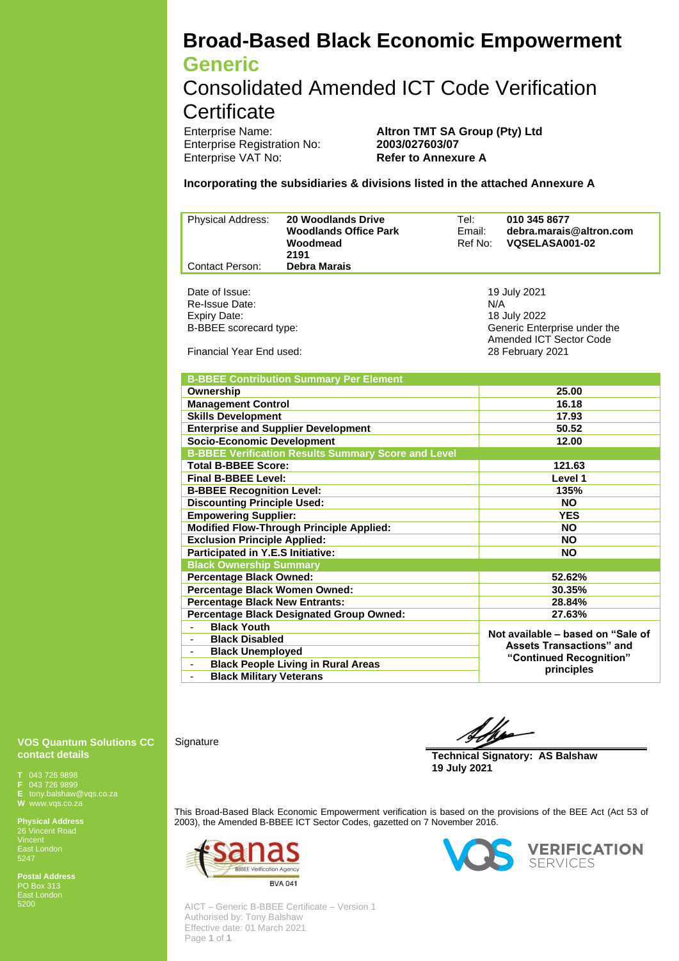# **Broad-Based Black Economic Empowerment Generic**

Consolidated Amended ICT Code Verification **Certificate** 

**Enterprise Registration No:** Enterprise VAT No: **Refer to Annexure A**

Enterprise Name: **Altron TMT SA Group (Pty) Ltd**<br>
Enterprise Registration No: **2003/027603/07** 

**Incorporating the subsidiaries & divisions listed in the attached Annexure A**

| <b>Physical Address:</b> | <b>20 Woodlands Drive</b><br><b>Woodlands Office Park</b><br>Woodmead<br>2191 | Tel:<br>Email:<br>Ref No:                               | 010 345 8677<br>debra.marais@altron.com<br>VQSELASA001-02 |  |
|--------------------------|-------------------------------------------------------------------------------|---------------------------------------------------------|-----------------------------------------------------------|--|
| <b>Contact Person:</b>   | <b>Debra Marais</b>                                                           |                                                         |                                                           |  |
|                          |                                                                               |                                                         |                                                           |  |
| Date of Issue:           |                                                                               |                                                         | 19 July 2021                                              |  |
| Re-Issue Date:           |                                                                               | N/A                                                     |                                                           |  |
| <b>Expiry Date:</b>      |                                                                               | 18 July 2022                                            |                                                           |  |
| B-BBEE scorecard type:   |                                                                               | Generic Enterprise under the<br>Amended ICT Sector Code |                                                           |  |
| Financial Year End used: |                                                                               | 28 February 2021                                        |                                                           |  |

| <b>B-BBEE Contribution Summary Per Element</b>             |                                                                                                                |  |  |  |  |  |
|------------------------------------------------------------|----------------------------------------------------------------------------------------------------------------|--|--|--|--|--|
| Ownership                                                  | 25.00                                                                                                          |  |  |  |  |  |
| <b>Management Control</b>                                  | 16.18                                                                                                          |  |  |  |  |  |
| <b>Skills Development</b>                                  | 17.93                                                                                                          |  |  |  |  |  |
| <b>Enterprise and Supplier Development</b>                 | 50.52                                                                                                          |  |  |  |  |  |
| <b>Socio-Economic Development</b>                          | 12.00                                                                                                          |  |  |  |  |  |
| <b>B-BBEE Verification Results Summary Score and Level</b> |                                                                                                                |  |  |  |  |  |
| <b>Total B-BBEE Score:</b>                                 | 121.63                                                                                                         |  |  |  |  |  |
| <b>Final B-BBEE Level:</b>                                 | Level 1                                                                                                        |  |  |  |  |  |
| <b>B-BBEE Recognition Level:</b>                           | 135%                                                                                                           |  |  |  |  |  |
| <b>Discounting Principle Used:</b>                         | <b>NO</b>                                                                                                      |  |  |  |  |  |
| <b>Empowering Supplier:</b>                                | <b>YES</b>                                                                                                     |  |  |  |  |  |
| <b>Modified Flow-Through Principle Applied:</b>            | <b>NO</b>                                                                                                      |  |  |  |  |  |
| <b>Exclusion Principle Applied:</b>                        | <b>NO</b>                                                                                                      |  |  |  |  |  |
| Participated in Y.E.S Initiative:                          | <b>NO</b>                                                                                                      |  |  |  |  |  |
| <b>Black Ownership Summary</b>                             |                                                                                                                |  |  |  |  |  |
| <b>Percentage Black Owned:</b>                             | 52.62%                                                                                                         |  |  |  |  |  |
| Percentage Black Women Owned:                              | 30.35%                                                                                                         |  |  |  |  |  |
| <b>Percentage Black New Entrants:</b>                      | 28.84%                                                                                                         |  |  |  |  |  |
| <b>Percentage Black Designated Group Owned:</b>            | 27.63%                                                                                                         |  |  |  |  |  |
| <b>Black Youth</b>                                         | Not available - based on "Sale of<br><b>Assets Transactions</b> " and<br>"Continued Recognition"<br>principles |  |  |  |  |  |
| <b>Black Disabled</b>                                      |                                                                                                                |  |  |  |  |  |
| <b>Black Unemployed</b><br>۰.                              |                                                                                                                |  |  |  |  |  |
| <b>Black People Living in Rural Areas</b><br>-             |                                                                                                                |  |  |  |  |  |
| <b>Black Military Veterans</b>                             |                                                                                                                |  |  |  |  |  |

#### **VOS Quantum Solutions CC contact details**

**T** 043 726 9898

**F** 043 726 9899 **E** tony.balshaw@vqs.co.za

**Physical Address** 26 Vincent Road

East London 5247

**Postal Address** PO Box 313 East London

**Signature** 

**Technical Signatory: AS Balshaw 19 July 2021**

This Broad-Based Black Economic Empowerment verification is based on the provisions of the BEE Act (Act 53 of 2003), the Amended B-BBEE ICT Sector Codes, gazetted on 7 November 2016.



AICT – Generic B-BBEE Certificate – Version 1 Authorised by: Tony Balshaw Effective date: 01 March 2021 Page **1** of **1**



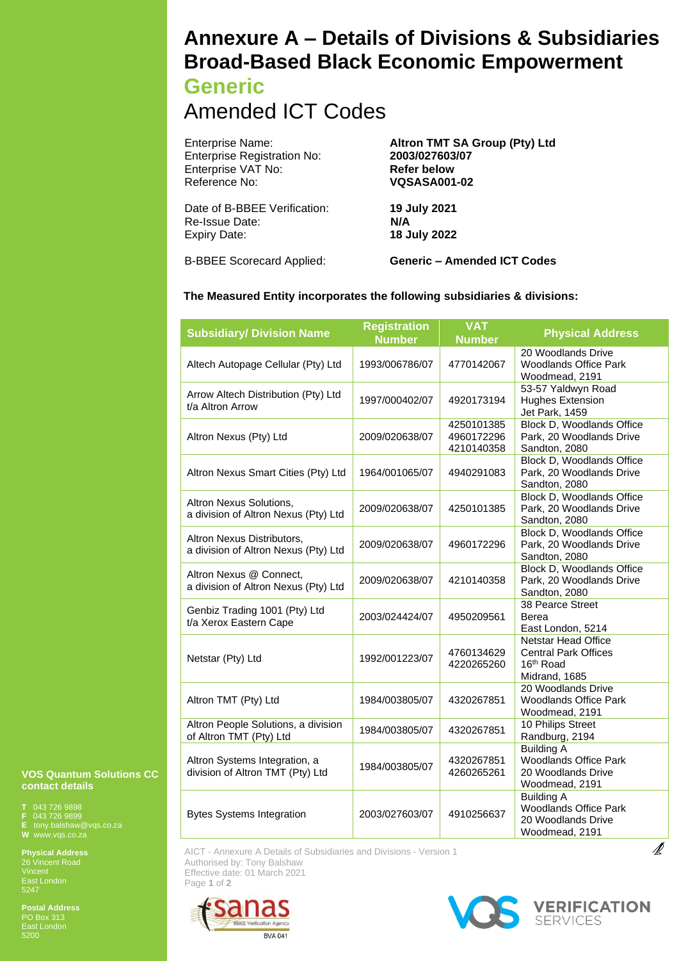## **Annexure A – Details of Divisions & Subsidiaries Broad-Based Black Economic Empowerment**

## **Generic**

## Amended ICT Codes

| Enterprise Name:                   | Altron TMT SA Group (Pty) Ltd |  |  |  |
|------------------------------------|-------------------------------|--|--|--|
| <b>Enterprise Registration No:</b> | 2003/027603/07                |  |  |  |
| Enterprise VAT No:                 | <b>Refer below</b>            |  |  |  |
| Reference No:                      | <b>VQSASA001-02</b>           |  |  |  |
| Date of B-BBEE Verification:       | 19 July 2021                  |  |  |  |
| Re-Issue Date:                     | N/A                           |  |  |  |
| Expiry Date:                       | 18 July 2022                  |  |  |  |
|                                    |                               |  |  |  |

B-BBEE Scorecard Applied: **Generic – Amended ICT Codes**

### **The Measured Entity incorporates the following subsidiaries & divisions:**

| <b>Subsidiary/ Division Name</b>                                   | <b>Registration</b><br><b>Number</b> | <b>VAT</b><br><b>Number</b>            | <b>Physical Address</b>                                                                      |
|--------------------------------------------------------------------|--------------------------------------|----------------------------------------|----------------------------------------------------------------------------------------------|
| Altech Autopage Cellular (Pty) Ltd                                 | 1993/006786/07                       | 4770142067                             | 20 Woodlands Drive<br><b>Woodlands Office Park</b><br>Woodmead, 2191                         |
| Arrow Altech Distribution (Pty) Ltd<br>t/a Altron Arrow            | 1997/000402/07                       | 4920173194                             | 53-57 Yaldwyn Road<br><b>Hughes Extension</b><br>Jet Park, 1459                              |
| Altron Nexus (Pty) Ltd                                             | 2009/020638/07                       | 4250101385<br>4960172296<br>4210140358 | <b>Block D, Woodlands Office</b><br>Park, 20 Woodlands Drive<br>Sandton, 2080                |
| Altron Nexus Smart Cities (Pty) Ltd                                | 1964/001065/07                       | 4940291083                             | <b>Block D, Woodlands Office</b><br>Park, 20 Woodlands Drive<br>Sandton, 2080                |
| Altron Nexus Solutions,<br>a division of Altron Nexus (Pty) Ltd    | 2009/020638/07                       | 4250101385                             | <b>Block D, Woodlands Office</b><br>Park, 20 Woodlands Drive<br>Sandton, 2080                |
| Altron Nexus Distributors,<br>a division of Altron Nexus (Pty) Ltd | 2009/020638/07                       | 4960172296                             | Block D, Woodlands Office<br>Park, 20 Woodlands Drive<br>Sandton, 2080                       |
| Altron Nexus @ Connect,<br>a division of Altron Nexus (Pty) Ltd    | 2009/020638/07                       | 4210140358                             | Block D, Woodlands Office<br>Park, 20 Woodlands Drive<br>Sandton, 2080                       |
| Genbiz Trading 1001 (Pty) Ltd<br>t/a Xerox Eastern Cape            | 2003/024424/07                       | 4950209561                             | <b>38 Pearce Street</b><br>Berea<br>East London, 5214                                        |
| Netstar (Pty) Ltd                                                  | 1992/001223/07                       | 4760134629<br>4220265260               | Netstar Head Office<br><b>Central Park Offices</b><br>16 <sup>th</sup> Road<br>Midrand, 1685 |
| Altron TMT (Pty) Ltd                                               | 1984/003805/07                       | 4320267851                             | 20 Woodlands Drive<br><b>Woodlands Office Park</b><br>Woodmead, 2191                         |
| Altron People Solutions, a division<br>of Altron TMT (Pty) Ltd     | 1984/003805/07                       | 4320267851                             | 10 Philips Street<br>Randburg, 2194                                                          |
| Altron Systems Integration, a<br>division of Altron TMT (Pty) Ltd  | 1984/003805/07                       | 4320267851<br>4260265261               | <b>Building A</b><br><b>Woodlands Office Park</b><br>20 Woodlands Drive<br>Woodmead, 2191    |
| <b>Bytes Systems Integration</b>                                   | 2003/027603/07                       | 4910256637                             | <b>Building A</b><br><b>Woodlands Office Park</b><br>20 Woodlands Drive<br>Woodmead, 2191    |

AICT - Annexure A Details of Subsidiaries and Divisions - Version 1 Authorised by: Tony Balshaw Effective date: 01 March 2021 Page **1** of **2**





 $\mathbb Z$ 

**VOS Quantum Solutions CC contact details** 

**T** 043 726 9898 **F** 043 726 9899 **E** tony.balshaw@vqs.co.za

**Physical Address** 26 Vincent Road East London 5247

**Postal Address** PO Box 313 East London